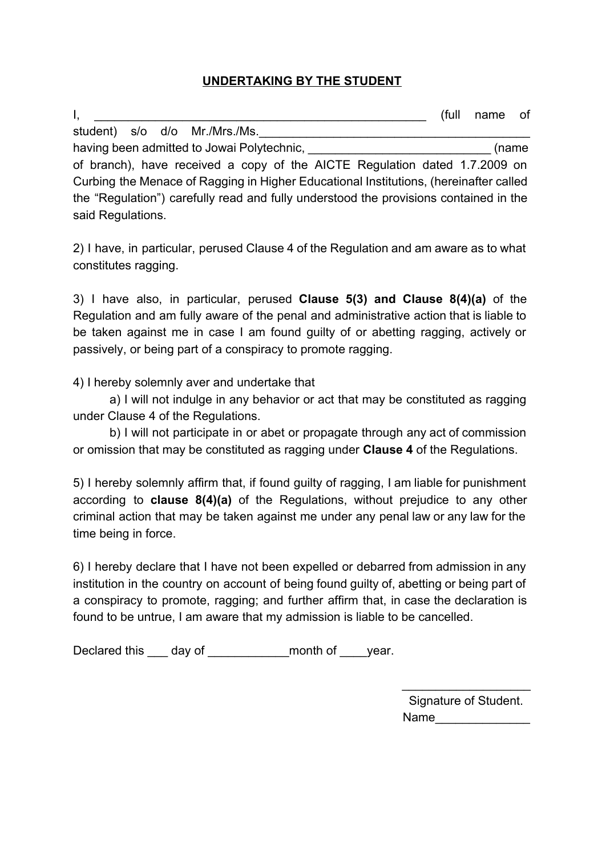## **UNDERTAKING BY THE STUDENT**

 $I,$   $\blacksquare$ student) s/o d/o Mr./Mrs./Ms. having been admitted to Jowai Polytechnic, \_\_\_\_\_\_\_\_\_\_\_\_\_\_\_\_\_\_\_\_\_\_\_\_\_\_\_\_\_\_\_\_\_\_\_(name of branch), have received a copy of the AICTE Regulation dated 1.7.2009 on

Curbing the Menace of Ragging in Higher Educational Institutions, (hereinafter called the "Regulation") carefully read and fully understood the provisions contained in the said Regulations.

2) I have, in particular, perused Clause 4 of the Regulation and am aware as to what constitutes ragging.

3) I have also, in particular, perused **Clause 5(3) and Clause 8(4)(a)** of the Regulation and am fully aware of the penal and administrative action that is liable to be taken against me in case I am found guilty of or abetting ragging, actively or passively, or being part of a conspiracy to promote ragging.

4) I hereby solemnly aver and undertake that

a) I will not indulge in any behavior or act that may be constituted as ragging under Clause 4 of the Regulations.

b) I will not participate in or abet or propagate through any act of commission or omission that may be constituted as ragging under **Clause 4**of the Regulations.

5) I hereby solemnly affirm that, if found guilty of ragging, I am liable for punishment according to **clause 8(4)(a)** of the Regulations, without prejudice to any other criminal action that may be taken against me under any penal law or any law for the time being in force.

6) I hereby declare that I have not been expelled or debarred from admission in any institution in the country on account of being found guilty of, abetting or being part of a conspiracy to promote, ragging; and further affirm that, in case the declaration is found to be untrue, I am aware that my admission is liable to be cancelled.

Declared this \_\_\_ day of \_\_\_\_\_\_\_\_\_\_\_\_month of \_\_\_\_year.

Signature of Student. Name

 $\_$